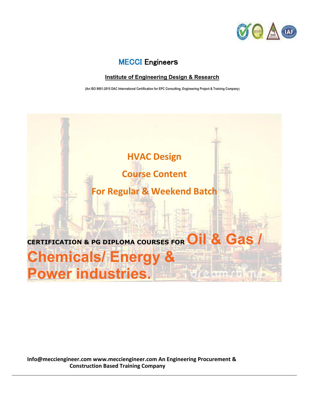

## MECCI Engineer**s**

### **Institute of Engineering Design & Research**

 **(An ISO 9001:2015 DAC International Certification for EPC Consulting, Engineering Project & Training Company)**

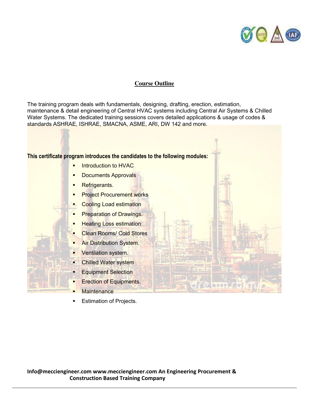

#### **Course Outline**

The training program deals with fundamentals, designing, drafting, erection, estimation, maintenance & detail engineering of Central HVAC systems including Central Air Systems & Chilled Water Systems. The dedicated training sessions covers detailed applications & usage of codes & standards ASHRAE, ISHRAE, SMACNA, ASME, ARI, DW 142 and more.

#### **This certificate program introduces the candidates to the following modules:**

- Introduction to HVAC
- **Documents Approvals**
- **Refrigerants.**
- **Project Procurement works**
- Cooling Load estimation
- Preparation of Drawings.
- **Heating Loss estimation**
- Clean Rooms/ Cold Stores
- Air Distribution System.
- Ventilation system.
- Chilled Water system
- Equipment Selection
- **Exection of Equipments.**
- **Maintenance**
- **Estimation of Projects.**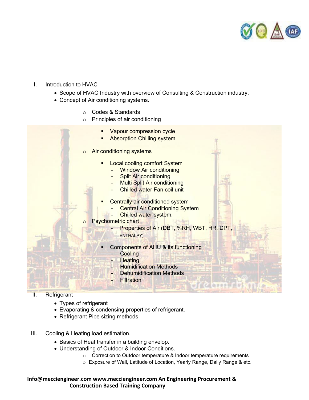

#### I. Introduction to HVAC

- Scope of HVAC Industry with overview of Consulting & Construction industry.
- Concept of Air conditioning systems.
	- o Codes & Standards
	- o Principles of air conditioning
- Vapour compression cycle Absorption Chilling system o Air conditioning systems **Local cooling comfort System Window Air conditioning Split Air conditioning** Multi Split Air conditioning Chilled water Fan coil unit Centrally air conditioned system **Central Air Conditioning System** Chilled water system. Psychometric chart Properties of Air (DBT, %RH, WBT, HR, DPT, ENTHALPY) Components of AHU & its functioning **Cooling Heating Humidification Methods** Dehumidification Methods **Filtration**

## II. Refrigerant

- Types of refrigerant
- Evaporating & condensing properties of refrigerant.
- Refrigerant Pipe sizing methods
- III. Cooling & Heating load estimation.
	- Basics of Heat transfer in a building envelop.
	- Understanding of Outdoor & Indoor Conditions.
		- o Correction to Outdoor temperature & Indoor temperature requirements
		- o Exposure of Wall, Latitude of Location, Yearly Range, Daily Range & etc.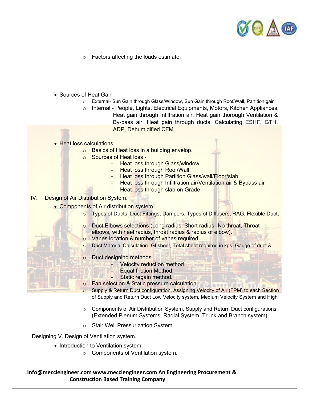

- o Factors affecting the loads estimate.
- Sources of Heat Gain
	- o External- Sun Gain through Glass/Window, Sun Gain through Roof/Wall, Partition gain
	- $\circ$  Internal People, Lights, Electrical Equipments, Motors, Kitchen Appliances, Heat gain through Infiltration air, Heat gain thorough Ventilation & By-pass air, Heat gain through ducts. Calculating ESHF, GTH, ADP, Dehumidified CFM.
- Heat loss calculations
	- o Basics of Heat loss in a building envelop.
	- o Sources of Heat loss
		- Heat loss through Glass/window
			- **Heat loss through Roof/Wall**
			- **Heat loss through Partition Glass/wall/Floor/slab**
			- Heat loss through Infiltration air/Ventilation air & Bypass air
			- Heat loss through slab on Grade
- IV. Design of Air Distribution System.
	- Components of Air distribution system.
		- o Types of Ducts, Duct Fittings, Dampers, Types of Diffusers, RAG, Flexible Duct,
		- o Duct Elbows selections (Long radius, Short radius- No throat, Throat
		- elbows, with heel radius, throat radius & radius of elbow).
		- o Vanes location & number of vanes required
		- o Duct Material Calculation- GI sheet, Total sheet required in kgs. Gauge of duct &
		- o Duct designing methods.
			- Velocity reduction method.
			- Equal friction Method.
			- Static regain method.
		- o Fan selection & Static pressure calculation.
		- Supply & Return Duct configuration, Assigning Velocity of Air (FPM) to each Section of Supply and Return Duct Low Velocity system, Medium Velocity System and High
		- $\circ$  Components of Air Distribution System, Supply and Return Duct configurations (Extended Plenum Systems, Radial System, Trunk and Branch system)
		- o Stair Well Pressurization System

Designing V. Design of Ventilation system.

- Introduction to Ventilation system,
	- o Components of Ventilation system.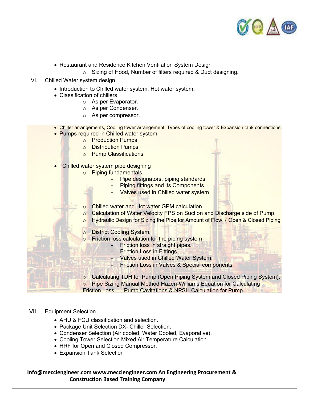

- Restaurant and Residence Kitchen Ventilation System Design
	- o Sizing of Hood, Number of filters required & Duct designing.
- VI. Chilled Water system design.
	- Introduction to Chilled water system, Hot water system.
	- Classification of chillers
		- o As per Evaporator.
		- o As per Condenser.
		- o As per compressor.
	- Chiller arrangements, Cooling tower arrangement, Types of cooling tower & Expansion tank connections.
	- Pumps required in Chilled water system
		- o Production Pumps
		- o Distribution Pumps
		- o Pump Classifications.
	- Chilled water system pipe designing
		- o Piping fundamentals
			- Pipe designators, piping standards.
			- Piping fittings and its Components.
			- Valves used in Chilled water system
		- o Chilled water and Hot water GPM calculation.
		- $\circ$  Calculation of Water Velocity FPS on Suction and Discharge side of Pump.
		- o Hydraulic Design for Sizing the Pipe for Amount of Flow. ( Open & Closed Piping
		- **District Cooling System.**
		- o Friction loss calculation for the piping system
			- Friction loss in straight pipes.
			- Friction Loss in Fittings.
			- Valves used in Chilled Water System.
			- Friction Loss in Valves & Special components.
		- o Calculating TDH for Pump (Open Piping System and Closed Piping System). o Pipe Sizing Manual Method Hazen-Williams Equation for Calculating Friction Loss. o Pump Cavitations & NPSH Calculation for Pump.

#### VII. Equipment Selection

- AHU & FCU classification and selection.
- Package Unit Selection DX- Chiller Selection.
- Condenser Selection (Air cooled, Water Cooled, Evaporative).
- Cooling Tower Selection Mixed Air Temperature Calculation.
- HRF for Open and Closed Compressor.
- Expansion Tank Selection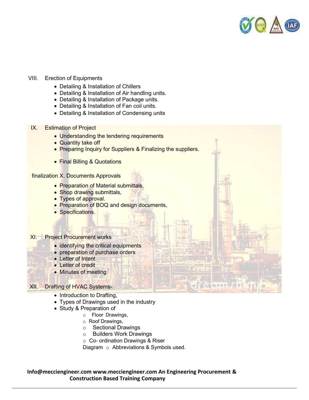

#### VIII. Erection of Equipments

- Detailing & Installation of Chillers
- Detailing & Installation of Air handling units.
- Detailing & Installation of Package units.
- Detailing & Installation of Fan coil units.
- Detailing & Installation of Condensing units
- IX. Estimation of Project
	- Understanding the tendering requirements
	- Quantity take off
	- Preparing Inquiry for Suppliers & Finalizing the suppliers.
	- **Final Billing & Quotations**

#### finalization X. Documents Approvals

- Preparation of Material submittals,
- Shop drawing submittals,
- Types of approval.
- Preparation of BOQ and design documents,
- Specifications.

#### XI. Project Procurement works

- identifying the critical equipments
- preparation of purchase orders
- Letter of Intent
- Letter of credit
- Minutes of meeting

#### XII. Drafting of HVAC Systems-

- Introduction to Drafting,
- Types of Drawings used in the industry
- Study & Preparation of
	- o Floor Drawings,
	- o Roof Drawings,
	- o Sectional Drawings
	- o Builders Work Drawings
	- o Co- ordination Drawings & Riser

Diagram o Abbreviations & Symbols used.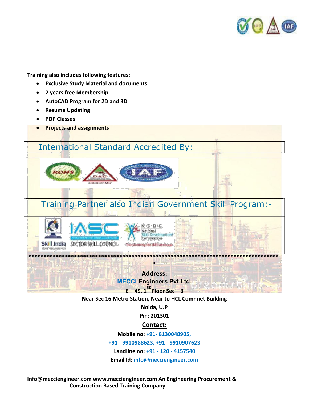

**Training also includes following features:** 

- **Exclusive Study Material and documents**
- **2 years free Membership**
- **AutoCAD Program for 2D and 3D**
- **•** Resume Updating
- **PDP Classes**
- **Projects and assignments**

# International Standard Accredited By:



Training Partner also Indian Government Skill Program:-





## **Address: MECCI Engineers Pvt Ltd.**

**\*\*\*\*\*\*\*\*\*\*\*\*\*\*\*\*\*\*\*\*\*\*\*\*\*\*\*\*\*\*\*\*\*\*\*\*\*\*\*\*\*\*\*\*\*\*\*\*\*\*\*\*\*\*\*\*\*\*\*\*\*\*\*\*\*\*\*\*\*\*\*\*\*\*\*\*\*\*\*\*\*\*\* \*** 

**<sup>E</sup>– 49, 1st Floor Sec –<sup>3</sup>**

**Near Sec 16 Metro Station, Near to HCL Comnnet Building** 

**Noida, U.P** 

**Pin: 201301** 

## **Contact:**

**Mobile no: +91- 8130048905,** 

**+91 - 9910988623, +91 - 9910907623** 

**Landline no: +91 - 120 - 4157540** 

**Email Id: info@mecciengineer.com**